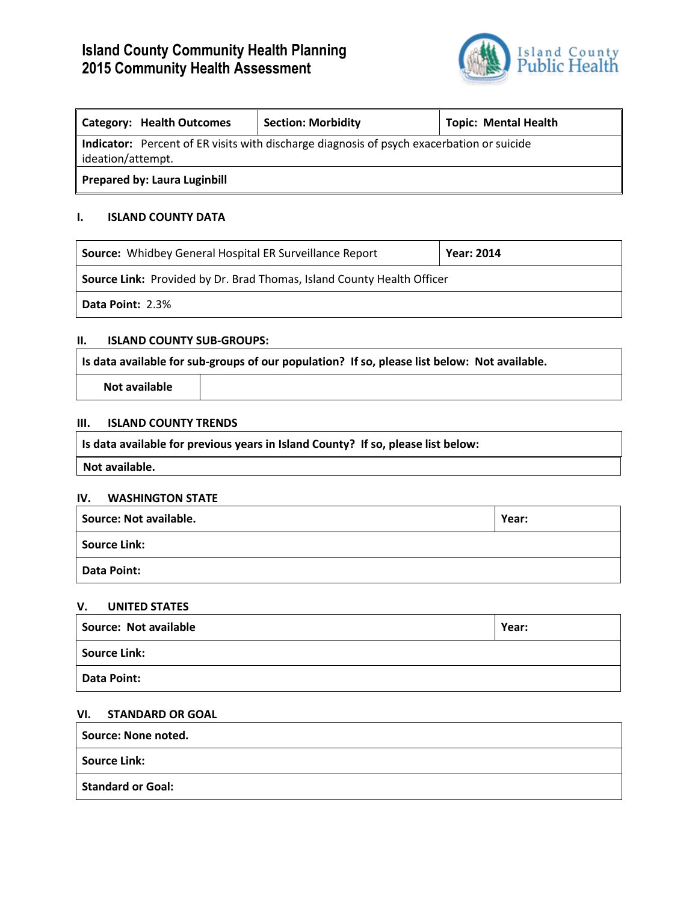## **Island County Community Health Planning 2015 Community Health Assessment**



| Category: Health Outcomes                                                                                      | <b>Section: Morbidity</b> | <b>Topic: Mental Health</b> |  |  |  |  |  |  |
|----------------------------------------------------------------------------------------------------------------|---------------------------|-----------------------------|--|--|--|--|--|--|
| Indicator: Percent of ER visits with discharge diagnosis of psych exacerbation or suicide<br>ideation/attempt. |                           |                             |  |  |  |  |  |  |
| Prepared by: Laura Luginbill                                                                                   |                           |                             |  |  |  |  |  |  |

## **I. ISLAND COUNTY DATA**

| <b>Source:</b> Whidbey General Hospital ER Surveillance Report                | <b>Year: 2014</b> |  |  |  |  |  |  |
|-------------------------------------------------------------------------------|-------------------|--|--|--|--|--|--|
| <b>Source Link:</b> Provided by Dr. Brad Thomas, Island County Health Officer |                   |  |  |  |  |  |  |
| <b>Data Point: 2.3%</b>                                                       |                   |  |  |  |  |  |  |

#### **II. ISLAND COUNTY SUB-GROUPS:**

**Is data available for sub-groups of our population? If so, please list below: Not available.**

**Not available**

## **III. ISLAND COUNTY TRENDS**

**Is data available for previous years in Island County? If so, please list below:**

**Not available.**

#### **IV. WASHINGTON STATE**

| <b>Source: Not available.</b> | Year: |
|-------------------------------|-------|
| Source Link:                  |       |
| Data Point:                   |       |

### **V. UNITED STATES**

| Source: Not available | Year: |  |  |  |
|-----------------------|-------|--|--|--|
| Source Link:          |       |  |  |  |
| Data Point:           |       |  |  |  |

## **VI. STANDARD OR GOAL**

| Source: None noted. |  |
|---------------------|--|
| Source Link:        |  |
| Standard or Goal:   |  |